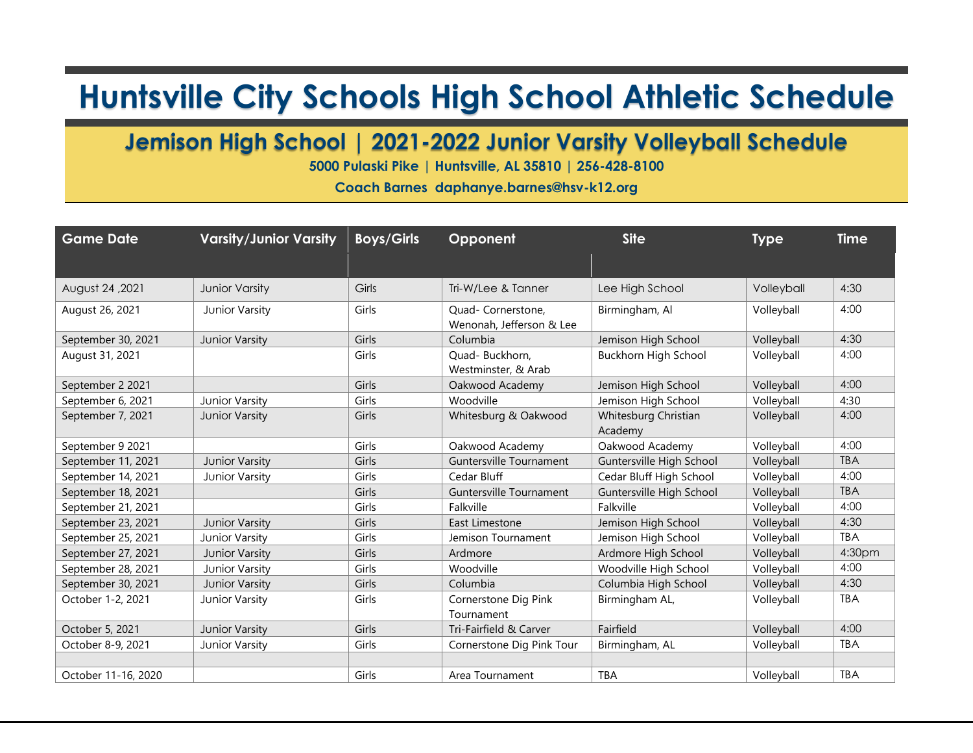## **Huntsville City Schools High School Athletic Schedule**

## **Jemison High School | 2021-2022 Junior Varsity Volleyball Schedule**

**5000 Pulaski Pike | Huntsville, AL 35810 | 256-428-8100**

**Coach Barnes daphanye.barnes@hsv-k12.org**

| <b>Game Date</b>    | <b>Varsity/Junior Varsity</b> | <b>Boys/Girls</b> | Opponent                                       | <b>Site</b>                     | <b>Type</b> | <b>Time</b> |
|---------------------|-------------------------------|-------------------|------------------------------------------------|---------------------------------|-------------|-------------|
|                     |                               |                   |                                                |                                 |             |             |
| August 24, 2021     | <b>Junior Varsity</b>         | Girls             | Tri-W/Lee & Tanner                             | Lee High School                 | Volleyball  | 4:30        |
| August 26, 2021     | Junior Varsity                | Girls             | Quad- Cornerstone,<br>Wenonah, Jefferson & Lee | Birmingham, Al                  | Volleyball  | 4:00        |
| September 30, 2021  | Junior Varsity                | Girls             | Columbia                                       | Jemison High School             | Volleyball  | 4:30        |
| August 31, 2021     |                               | Girls             | Quad-Buckhorn,<br>Westminster, & Arab          | Buckhorn High School            | Volleyball  | 4:00        |
| September 2 2021    |                               | Girls             | Oakwood Academy                                | Jemison High School             | Volleyball  | 4:00        |
| September 6, 2021   | Junior Varsity                | Girls             | Woodville                                      | Jemison High School             | Volleyball  | 4:30        |
| September 7, 2021   | Junior Varsity                | Girls             | Whitesburg & Oakwood                           | Whitesburg Christian<br>Academy | Volleyball  | 4:00        |
| September 9 2021    |                               | Girls             | Oakwood Academy                                | Oakwood Academy                 | Volleyball  | 4:00        |
| September 11, 2021  | Junior Varsity                | Girls             | Guntersville Tournament                        | Guntersville High School        | Volleyball  | <b>TBA</b>  |
| September 14, 2021  | Junior Varsity                | Girls             | Cedar Bluff                                    | Cedar Bluff High School         | Volleyball  | 4:00        |
| September 18, 2021  |                               | Girls             | <b>Guntersville Tournament</b>                 | Guntersville High School        | Volleyball  | <b>TBA</b>  |
| September 21, 2021  |                               | Girls             | Falkville                                      | Falkville                       | Volleyball  | 4:00        |
| September 23, 2021  | Junior Varsity                | Girls             | East Limestone                                 | Jemison High School             | Volleyball  | 4:30        |
| September 25, 2021  | Junior Varsity                | Girls             | Jemison Tournament                             | Jemison High School             | Volleyball  | <b>TBA</b>  |
| September 27, 2021  | Junior Varsity                | Girls             | Ardmore                                        | Ardmore High School             | Volleyball  | 4:30pm      |
| September 28, 2021  | Junior Varsity                | Girls             | Woodville                                      | Woodville High School           | Volleyball  | 4:00        |
| September 30, 2021  | Junior Varsity                | Girls             | Columbia                                       | Columbia High School            | Volleyball  | 4:30        |
| October 1-2, 2021   | Junior Varsity                | Girls             | Cornerstone Dig Pink<br>Tournament             | Birmingham AL,                  | Volleyball  | <b>TBA</b>  |
| October 5, 2021     | Junior Varsity                | Girls             | Tri-Fairfield & Carver                         | Fairfield                       | Volleyball  | 4:00        |
| October 8-9, 2021   | Junior Varsity                | Girls             | Cornerstone Dig Pink Tour                      | Birmingham, AL                  | Volleyball  | <b>TBA</b>  |
|                     |                               |                   |                                                |                                 |             |             |
| October 11-16, 2020 |                               | Girls             | Area Tournament                                | <b>TBA</b>                      | Volleyball  | <b>TBA</b>  |